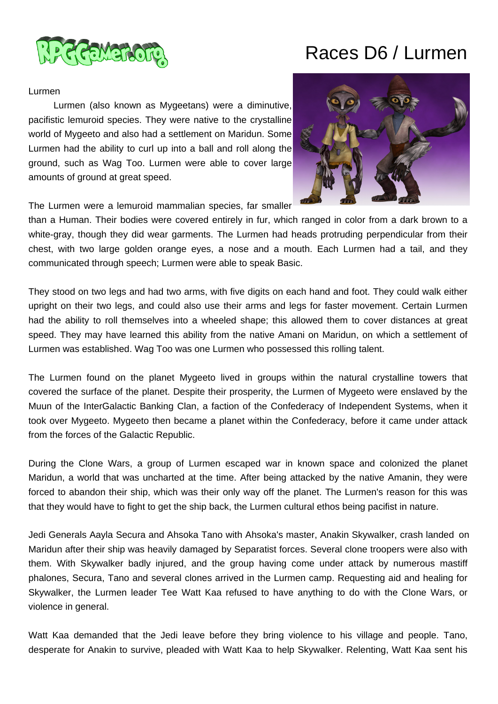

# Races D6 / Lurmen

#### Lurmen

 Lurmen (also known as Mygeetans) were a diminutive, pacifistic lemuroid species. They were native to the crystalline world of Mygeeto and also had a settlement on Maridun. Some Lurmen had the ability to curl up into a ball and roll along the ground, such as Wag Too. Lurmen were able to cover large amounts of ground at great speed.



The Lurmen were a lemuroid mammalian species, far smaller

than a Human. Their bodies were covered entirely in fur, which ranged in color from a dark brown to a white-gray, though they did wear garments. The Lurmen had heads protruding perpendicular from their chest, with two large golden orange eyes, a nose and a mouth. Each Lurmen had a tail, and they communicated through speech; Lurmen were able to speak Basic.

They stood on two legs and had two arms, with five digits on each hand and foot. They could walk either upright on their two legs, and could also use their arms and legs for faster movement. Certain Lurmen had the ability to roll themselves into a wheeled shape; this allowed them to cover distances at great speed. They may have learned this ability from the native Amani on Maridun, on which a settlement of Lurmen was established. Wag Too was one Lurmen who possessed this rolling talent.

The Lurmen found on the planet Mygeeto lived in groups within the natural crystalline towers that covered the surface of the planet. Despite their prosperity, the Lurmen of Mygeeto were enslaved by the Muun of the InterGalactic Banking Clan, a faction of the Confederacy of Independent Systems, when it took over Mygeeto. Mygeeto then became a planet within the Confederacy, before it came under attack from the forces of the Galactic Republic.

During the Clone Wars, a group of Lurmen escaped war in known space and colonized the planet Maridun, a world that was uncharted at the time. After being attacked by the native Amanin, they were forced to abandon their ship, which was their only way off the planet. The Lurmen's reason for this was that they would have to fight to get the ship back, the Lurmen cultural ethos being pacifist in nature.

Jedi Generals Aayla Secura and Ahsoka Tano with Ahsoka's master, Anakin Skywalker, crash landed on Maridun after their ship was heavily damaged by Separatist forces. Several clone troopers were also with them. With Skywalker badly injured, and the group having come under attack by numerous mastiff phalones, Secura, Tano and several clones arrived in the Lurmen camp. Requesting aid and healing for Skywalker, the Lurmen leader Tee Watt Kaa refused to have anything to do with the Clone Wars, or violence in general.

Watt Kaa demanded that the Jedi leave before they bring violence to his village and people. Tano, desperate for Anakin to survive, pleaded with Watt Kaa to help Skywalker. Relenting, Watt Kaa sent his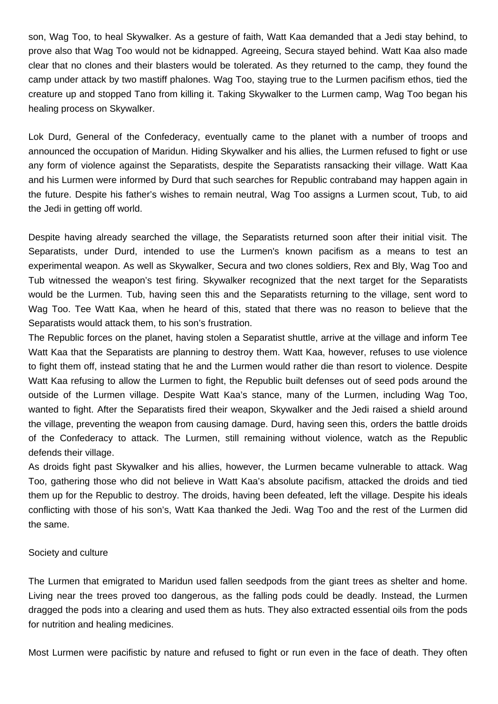son, Wag Too, to heal Skywalker. As a gesture of faith, Watt Kaa demanded that a Jedi stay behind, to prove also that Wag Too would not be kidnapped. Agreeing, Secura stayed behind. Watt Kaa also made clear that no clones and their blasters would be tolerated. As they returned to the camp, they found the camp under attack by two mastiff phalones. Wag Too, staying true to the Lurmen pacifism ethos, tied the creature up and stopped Tano from killing it. Taking Skywalker to the Lurmen camp, Wag Too began his healing process on Skywalker.

Lok Durd, General of the Confederacy, eventually came to the planet with a number of troops and announced the occupation of Maridun. Hiding Skywalker and his allies, the Lurmen refused to fight or use any form of violence against the Separatists, despite the Separatists ransacking their village. Watt Kaa and his Lurmen were informed by Durd that such searches for Republic contraband may happen again in the future. Despite his father's wishes to remain neutral, Wag Too assigns a Lurmen scout, Tub, to aid the Jedi in getting off world.

Despite having already searched the village, the Separatists returned soon after their initial visit. The Separatists, under Durd, intended to use the Lurmen's known pacifism as a means to test an experimental weapon. As well as Skywalker, Secura and two clones soldiers, Rex and Bly, Wag Too and Tub witnessed the weapon's test firing. Skywalker recognized that the next target for the Separatists would be the Lurmen. Tub, having seen this and the Separatists returning to the village, sent word to Wag Too. Tee Watt Kaa, when he heard of this, stated that there was no reason to believe that the Separatists would attack them, to his son's frustration.

The Republic forces on the planet, having stolen a Separatist shuttle, arrive at the village and inform Tee Watt Kaa that the Separatists are planning to destroy them. Watt Kaa, however, refuses to use violence to fight them off, instead stating that he and the Lurmen would rather die than resort to violence. Despite Watt Kaa refusing to allow the Lurmen to fight, the Republic built defenses out of seed pods around the outside of the Lurmen village. Despite Watt Kaa's stance, many of the Lurmen, including Wag Too, wanted to fight. After the Separatists fired their weapon, Skywalker and the Jedi raised a shield around the village, preventing the weapon from causing damage. Durd, having seen this, orders the battle droids of the Confederacy to attack. The Lurmen, still remaining without violence, watch as the Republic defends their village.

As droids fight past Skywalker and his allies, however, the Lurmen became vulnerable to attack. Wag Too, gathering those who did not believe in Watt Kaa's absolute pacifism, attacked the droids and tied them up for the Republic to destroy. The droids, having been defeated, left the village. Despite his ideals conflicting with those of his son's, Watt Kaa thanked the Jedi. Wag Too and the rest of the Lurmen did the same.

### Society and culture

The Lurmen that emigrated to Maridun used fallen seedpods from the giant trees as shelter and home. Living near the trees proved too dangerous, as the falling pods could be deadly. Instead, the Lurmen dragged the pods into a clearing and used them as huts. They also extracted essential oils from the pods for nutrition and healing medicines.

Most Lurmen were pacifistic by nature and refused to fight or run even in the face of death. They often